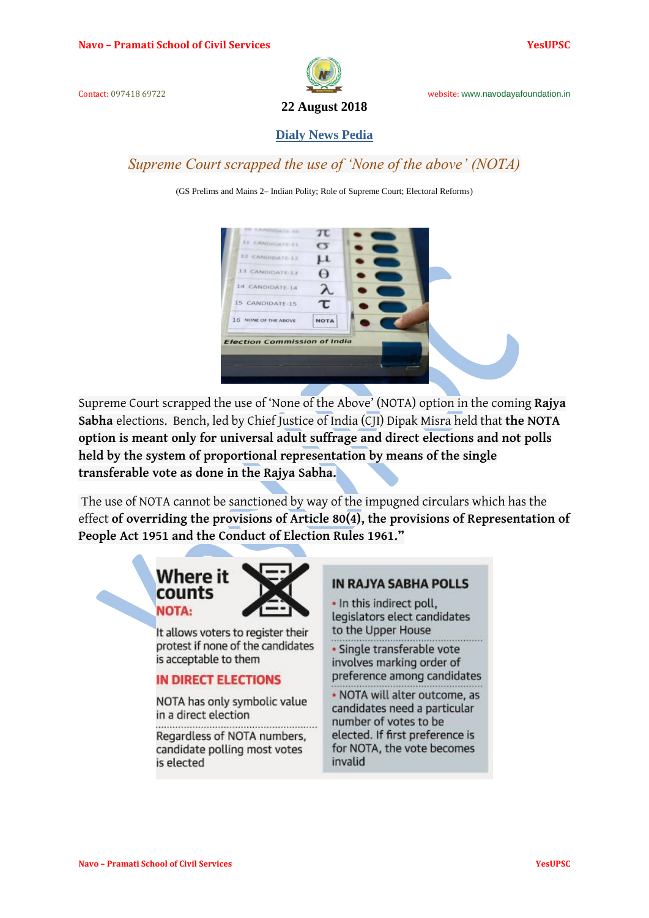

**22 August 2018**

**Dialy News Pedia**

*Supreme Court scrapped the use of 'None of the above' (NOTA)*

(GS Prelims and Mains 2**–** Indian Polity; Role of Supreme Court; Electoral Reforms)



Supreme Court scrapped the use of 'None of the Above' (NOTA) option in the coming **[Rajya](https://www.thehindu.com/tag/1417-1415-1349/rajya-sabha/?utm=bodytag)  [Sabha](https://www.thehindu.com/tag/1417-1415-1349/rajya-sabha/?utm=bodytag)** elections. Bench, led by Chief Justice of India (CJI) Dipak Misra held that **the NOTA option is meant only for universal adult suffrage and direct elections and not polls held by the system of proportional representation by means of the single transferable vote as done in the Rajya Sabha.**

The use of NOTA cannot be sanctioned by way of the impugned circulars which has the effect **of overriding the provisions of Article 80(4), the provisions of Representation of People Act 1951 and the Conduct of Election Rules 1961."**

# Where it **NOTA:**

It allows voters to register their protest if none of the candidates is acceptable to them

### **IN DIRECT ELECTIONS**

NOTA has only symbolic value in a direct election

Regardless of NOTA numbers. candidate polling most votes is elected

### **IN RAJYA SABHA POLLS**

· In this indirect poll, legislators elect candidates to the Upper House

· Single transferable vote involves marking order of preference among candidates

• NOTA will alter outcome, as candidates need a particular number of votes to be elected. If first preference is for NOTA, the vote becomes invalid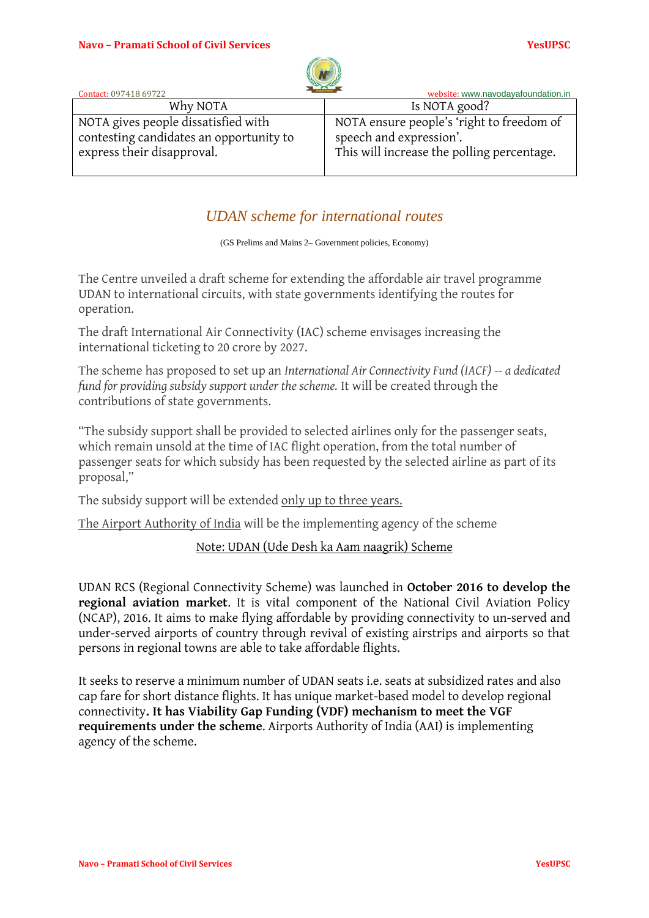

| Contact: 097418 69722                                                                                        | $\sim$ $\sim$<br>website: www.navodayafoundation.in                                                                |
|--------------------------------------------------------------------------------------------------------------|--------------------------------------------------------------------------------------------------------------------|
| Why NOTA                                                                                                     | Is NOTA good?                                                                                                      |
| NOTA gives people dissatisfied with<br>contesting candidates an opportunity to<br>express their disapproval. | NOTA ensure people's 'right to freedom of<br>speech and expression'.<br>This will increase the polling percentage. |

### *UDAN scheme for international routes*

(GS Prelims and Mains 2**–** Government policies, Economy)

The Centre unveiled a draft scheme for extending the affordable air travel programme UDAN to international circuits, with state governments identifying the routes for operation.

The draft International Air Connectivity (IAC) scheme envisages increasing the international ticketing to 20 crore by 2027.

The scheme has proposed to set up an *International Air Connectivity Fund (IACF) -- a dedicated fund for providing subsidy support under the scheme.* It will be created through the contributions of state governments.

"The subsidy support shall be provided to selected airlines only for the passenger seats, which remain unsold at the time of IAC flight operation, from the total number of passenger seats for which subsidy has been requested by the selected airline as part of its proposal,"

The subsidy support will be extended only up to three years.

The Airport Authority of India will be the implementing agency of the scheme

### Note: UDAN (Ude Desh ka Aam naagrik) Scheme

UDAN RCS (Regional Connectivity Scheme) was launched in **October 2016 to develop the regional aviation market**. It is vital component of the National Civil Aviation Policy (NCAP), 2016. It aims to make flying affordable by providing connectivity to un-served and under-served airports of country through revival of existing airstrips and airports so that persons in regional towns are able to take affordable flights.

It seeks to reserve a minimum number of UDAN seats i.e. seats at subsidized rates and also cap fare for short distance flights. It has unique market-based model to develop regional connectivity**. It has Viability Gap Funding (VDF) mechanism to meet the VGF requirements under the scheme**. Airports Authority of India (AAI) is implementing agency of the scheme.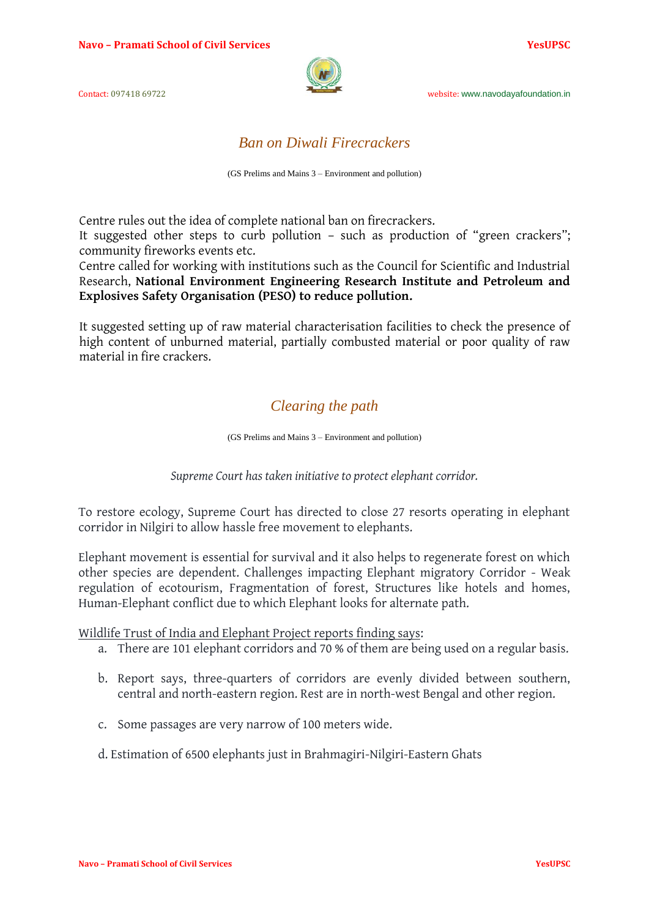

## *Ban on Diwali Firecrackers*

(GS Prelims and Mains 3 – Environment and pollution)

Centre rules out the idea of complete national ban on firecrackers.

It suggested other steps to curb pollution – such as production of "green crackers"; community fireworks events etc.

Centre called for working with institutions such as the Council for Scientific and Industrial Research, **National Environment Engineering Research Institute and Petroleum and Explosives Safety Organisation (PESO) to reduce pollution.**

It suggested setting up of raw material characterisation facilities to check the presence of high content of unburned material, partially combusted material or poor quality of raw material in fire crackers.

# *[Clearing the path](https://www.thehindu.com/opinion/editorial/clearing-the-path/article24747177.ece)*

(GS Prelims and Mains 3 – Environment and pollution)

*Supreme Court has taken initiative to protect elephant corridor.*

To restore ecology, Supreme Court has directed to close 27 resorts operating in elephant corridor in Nilgiri to allow hassle free movement to elephants.

Elephant movement is essential for survival and it also helps to regenerate forest on which other species are dependent. Challenges impacting Elephant migratory Corridor - Weak regulation of ecotourism, Fragmentation of forest, Structures like hotels and homes, Human-Elephant conflict due to which Elephant looks for alternate path.

Wildlife Trust of India and Elephant Project reports finding says:

- a. There are 101 elephant corridors and 70 % of them are being used on a regular basis.
- b. Report says, three-quarters of corridors are evenly divided between southern, central and north-eastern region. Rest are in north-west Bengal and other region.
- c. Some passages are very narrow of 100 meters wide.
- d. Estimation of 6500 elephants just in Brahmagiri-Nilgiri-Eastern Ghats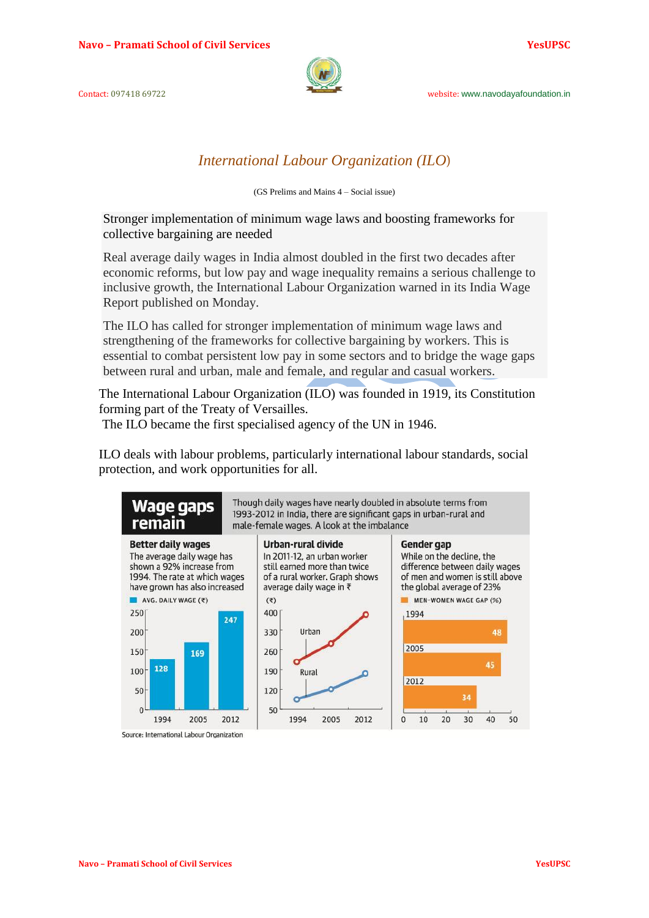

### *International Labour Organization (ILO*)

(GS Prelims and Mains 4 – Social issue)

Stronger implementation of minimum wage laws and boosting frameworks for collective bargaining are needed

Real average daily wages in India almost doubled in the first two decades after economic reforms, but low pay and wage inequality remains a serious challenge to inclusive growth, the International Labour Organization warned in its India Wage Report published on Monday.

The ILO has called for stronger implementation of minimum wage laws and strengthening of the frameworks for collective bargaining by workers. This is essential to combat persistent low pay in some sectors and to bridge the wage gaps between rural and urban, male and female, and regular and casual workers.

The International Labour Organization (ILO) was founded in 1919, its Constitution forming part of the Treaty of Versailles.

The ILO became the first specialised agency of the UN in 1946.

ILO deals with labour problems, particularly international labour standards, social protection, and work opportunities for all.



Source: International Labour Organization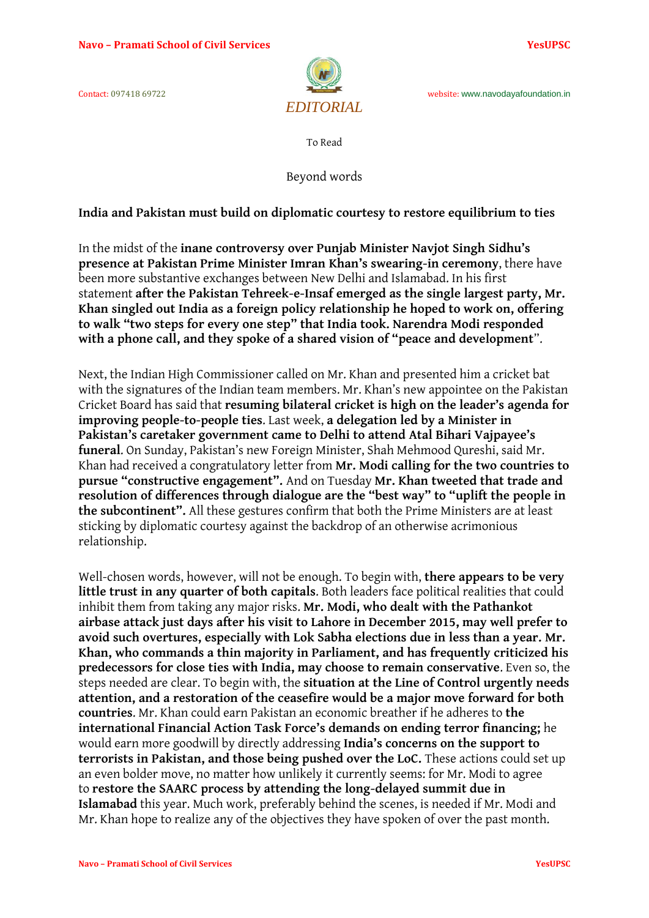

To Read

Beyond words

**India and Pakistan must build on diplomatic courtesy to restore equilibrium to ties**

In the midst of the **inane controversy over Punjab Minister Navjot Singh Sidhu's presence at Pakistan Prime Minister Imran Khan's swearing-in ceremony**, there have been more substantive exchanges between New Delhi and Islamabad. In his first statement **after the Pakistan Tehreek-e-Insaf emerged as the single largest party, Mr. Khan singled out India as a foreign policy relationship he hoped to work on, offering to walk "two steps for every one step" that India took. Narendra Modi responded with a phone call, and they spoke of a shared vision of "peace and development**".

Next, the Indian High Commissioner called on Mr. Khan and presented him a cricket bat with the signatures of the Indian team members. Mr. Khan's new appointee on the Pakistan Cricket Board has said that **resuming bilateral cricket is high on the leader's agenda for improving people-to-people ties**. Last week, **a delegation led by a Minister in Pakistan's caretaker government came to Delhi to attend Atal Bihari Vajpayee's funeral**. On Sunday, Pakistan's new Foreign Minister, Shah Mehmood Qureshi, said Mr. Khan had received a congratulatory letter from **Mr. Modi calling for the two countries to pursue "constructive engagement".** And on Tuesday **Mr. Khan tweeted that trade and resolution of differences through dialogue are the "best way" to "uplift the people in the subcontinent".** All these gestures confirm that both the Prime Ministers are at least sticking by diplomatic courtesy against the backdrop of an otherwise acrimonious relationship.

Well-chosen words, however, will not be enough. To begin with, **there appears to be very little trust in any quarter of both capitals**. Both leaders face political realities that could inhibit them from taking any major risks. **Mr. Modi, who dealt with the Pathankot airbase attack just days after his visit to Lahore in December 2015, may well prefer to avoid such overtures, especially with Lok Sabha elections due in less than a year. Mr. Khan, who commands a thin majority in Parliament, and has frequently criticized his predecessors for close ties with India, may choose to remain conservative**. Even so, the steps needed are clear. To begin with, the **situation at the Line of Control urgently needs attention, and a restoration of the ceasefire would be a major move forward for both countries**. Mr. Khan could earn Pakistan an economic breather if he adheres to **the international Financial Action Task Force's demands on ending terror financing;** he would earn more goodwill by directly addressing **India's concerns on the support to terrorists in Pakistan, and those being pushed over the LoC.** These actions could set up an even bolder move, no matter how unlikely it currently seems: for Mr. Modi to agree to **restore the SAARC process by attending the long-delayed summit due in Islamabad** this year. Much work, preferably behind the scenes, is needed if Mr. Modi and Mr. Khan hope to realize any of the objectives they have spoken of over the past month.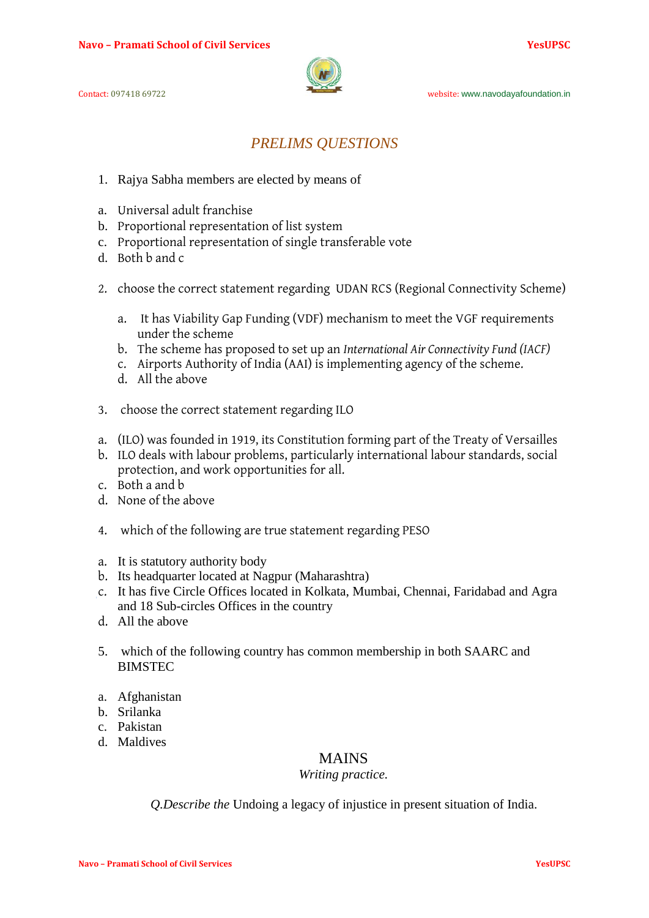

# *PRELIMS QUESTIONS*

- 1. Rajya Sabha members are elected by means of
- a. Universal adult franchise
- b. Proportional representation of list system
- c. Proportional representation of single transferable vote
- d. Both b and c
- 2. choose the correct statement regarding UDAN RCS (Regional Connectivity Scheme)
	- a. It has Viability Gap Funding (VDF) mechanism to meet the VGF requirements under the scheme
	- b. The scheme has proposed to set up an *International Air Connectivity Fund (IACF)*
	- c. Airports Authority of India (AAI) is implementing agency of the scheme.
	- d. All the above
- 3. choose the correct statement regarding ILO
- a. (ILO) was founded in 1919, its Constitution forming part of the Treaty of Versailles
- b. ILO deals with labour problems, particularly international labour standards, social protection, and work opportunities for all.
- c. Both a and b
- d. None of the above
- 4. which of the following are true statement regarding PESO
- a. It is statutory authority body
- b. Its headquarter located at Nagpur (Maharashtra)
- c. It has five Circle Offices located in Kolkata, Mumbai, Chennai, Faridabad and Agra and 18 Sub-circles Offices in the country
- d. All the above
- 5. which of the following country has common membership in both SAARC and BIMSTEC
- a. Afghanistan
- b. Srilanka
- c. Pakistan
- d. Maldives

### MAINS

### *Writing practice.*

*Q.Describe the* [Undoing a legacy of injustice](https://www.thehindu.com/todays-paper/tp-opinion/undoing-a-legacy-of-injustice/article24673531.ece) in present situation of India.